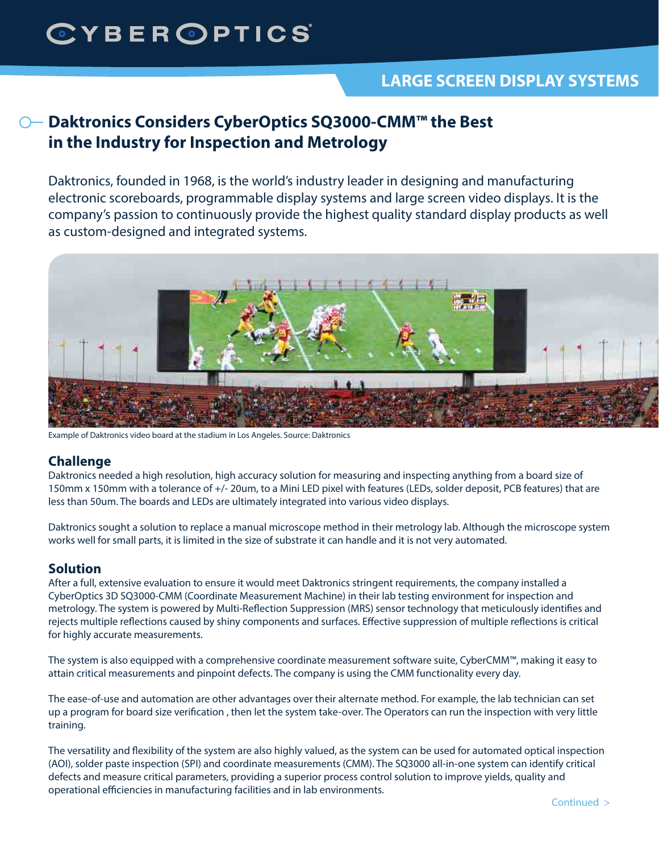# **CYBEROPTICS**

## **LARGE SCREEN DISPLAY SYSTEMS**

### **Daktronics Considers CyberOptics SQ3000-CMM™ the Best in the Industry for Inspection and Metrology**

Daktronics, founded in 1968, is the world's industry leader in designing and manufacturing electronic scoreboards, programmable display systems and large screen video displays. It is the company's passion to continuously provide the highest quality standard display products as well as custom-designed and integrated systems.



Example of Daktronics video board at the stadium in Los Angeles. Source: Daktronics

#### **Challenge**

Daktronics needed a high resolution, high accuracy solution for measuring and inspecting anything from a board size of 150mm x 150mm with a tolerance of +/- 20um, to a Mini LED pixel with features (LEDs, solder deposit, PCB features) that are less than 50um. The boards and LEDs are ultimately integrated into various video displays.

Daktronics sought a solution to replace a manual microscope method in their metrology lab. Although the microscope system works well for small parts, it is limited in the size of substrate it can handle and it is not very automated.

#### **Solution**

After a full, extensive evaluation to ensure it would meet Daktronics stringent requirements, the company installed a CyberOptics 3D SQ3000-CMM (Coordinate Measurement Machine) in their lab testing environment for inspection and metrology. The system is powered by Multi-Reflection Suppression (MRS) sensor technology that meticulously identifies and rejects multiple reflections caused by shiny components and surfaces. Effective suppression of multiple reflections is critical for highly accurate measurements.

The system is also equipped with a comprehensive coordinate measurement software suite, CyberCMM™, making it easy to attain critical measurements and pinpoint defects. The company is using the CMM functionality every day.

The ease-of-use and automation are other advantages over their alternate method. For example, the lab technician can set up a program for board size verification , then let the system take-over. The Operators can run the inspection with very little training.

The versatility and flexibility of the system are also highly valued, as the system can be used for automated optical inspection (AOI), solder paste inspection (SPI) and coordinate measurements (CMM). The SQ3000 all-in-one system can identify critical defects and measure critical parameters, providing a superior process control solution to improve yields, quality and operational efficiencies in manufacturing facilities and in lab environments.